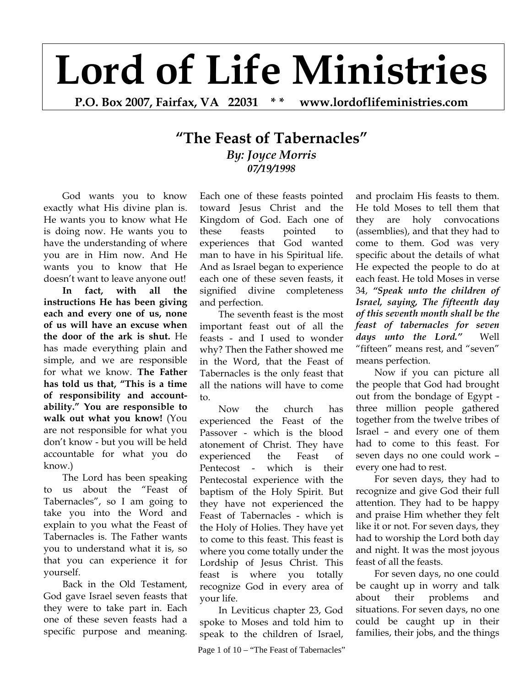# **Lord of Life Ministries**

**P.O. Box 2007, Fairfax, VA 22031 \* \* www.lordoflifeministries.com** 

# **"The Feast of Tabernacles"** *By: Joyce Morris 07/19/1998*

God wants you to know exactly what His divine plan is. He wants you to know what He is doing now. He wants you to have the understanding of where you are in Him now. And He wants you to know that He doesn't want to leave anyone out!

**In fact, with all the instructions He has been giving each and every one of us, none of us will have an excuse when the door of the ark is shut.** He has made everything plain and simple, and we are responsible for what we know. **The Father has told us that, "This is a time of responsibility and accountability." You are responsible to walk out what you know!** (You are not responsible for what you don't know - but you will be held accountable for what you do know.)

The Lord has been speaking to us about the "Feast of Tabernacles", so I am going to take you into the Word and explain to you what the Feast of Tabernacles is. The Father wants you to understand what it is, so that you can experience it for yourself.

Back in the Old Testament, God gave Israel seven feasts that they were to take part in. Each one of these seven feasts had a specific purpose and meaning.

Each one of these feasts pointed toward Jesus Christ and the Kingdom of God. Each one of these feasts pointed to experiences that God wanted man to have in his Spiritual life. And as Israel began to experience each one of these seven feasts, it signified divine completeness and perfection.

The seventh feast is the most important feast out of all the feasts - and I used to wonder why? Then the Father showed me in the Word, that the Feast of Tabernacles is the only feast that all the nations will have to come to.

Now the church has experienced the Feast of the Passover - which is the blood atonement of Christ. They have experienced the Feast of Pentecost - which is their Pentecostal experience with the baptism of the Holy Spirit. But they have not experienced the Feast of Tabernacles - which is the Holy of Holies. They have yet to come to this feast. This feast is where you come totally under the Lordship of Jesus Christ. This feast is where you totally recognize God in every area of your life.

In Leviticus chapter 23, God spoke to Moses and told him to speak to the children of Israel,

Page 1 of  $10 -$  "The Feast of Tabernacles"

and proclaim His feasts to them. He told Moses to tell them that they are holy convocations (assemblies), and that they had to come to them. God was very specific about the details of what He expected the people to do at each feast. He told Moses in verse 34, *"Speak unto the children of Israel, saying, The fifteenth day of this seventh month shall be the feast of tabernacles for seven days unto the Lord."* Well "fifteen" means rest, and "seven" means perfection.

Now if you can picture all the people that God had brought out from the bondage of Egypt three million people gathered together from the twelve tribes of Israel – and every one of them had to come to this feast. For seven days no one could work – every one had to rest.

For seven days, they had to recognize and give God their full attention. They had to be happy and praise Him whether they felt like it or not. For seven days, they had to worship the Lord both day and night. It was the most joyous feast of all the feasts.

For seven days, no one could be caught up in worry and talk about their problems and situations. For seven days, no one could be caught up in their families, their jobs, and the things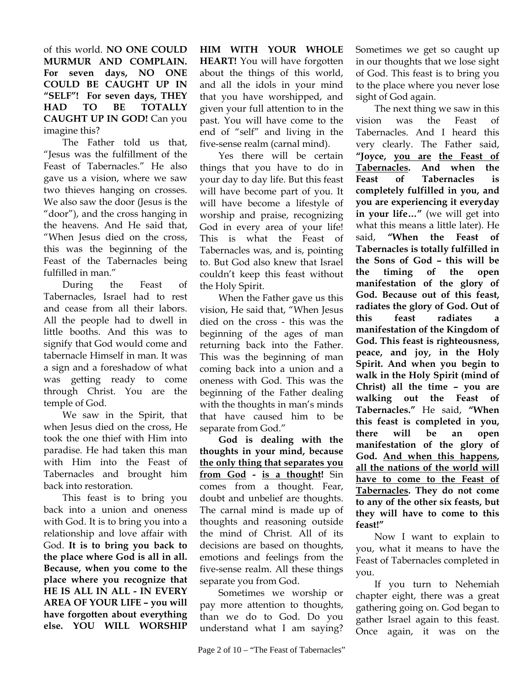of this world. **NO ONE COULD MURMUR AND COMPLAIN. For seven days, NO ONE COULD BE CAUGHT UP IN "SELF"! For seven days, THEY HAD TO BE TOTALLY CAUGHT UP IN GOD!** Can you imagine this?

The Father told us that, "Jesus was the fulfillment of the Feast of Tabernacles." He also gave us a vision, where we saw two thieves hanging on crosses. We also saw the door (Jesus is the "door"), and the cross hanging in the heavens. And He said that, "When Jesus died on the cross, this was the beginning of the Feast of the Tabernacles being fulfilled in man."

During the Feast of Tabernacles, Israel had to rest and cease from all their labors. All the people had to dwell in little booths. And this was to signify that God would come and tabernacle Himself in man. It was a sign and a foreshadow of what was getting ready to come through Christ. You are the temple of God.

We saw in the Spirit, that when Jesus died on the cross, He took the one thief with Him into paradise. He had taken this man with Him into the Feast of Tabernacles and brought him back into restoration.

This feast is to bring you back into a union and oneness with God. It is to bring you into a relationship and love affair with God. **It is to bring you back to the place where God is all in all. Because, when you come to the place where you recognize that HE IS ALL IN ALL - IN EVERY AREA OF YOUR LIFE – you will have forgotten about everything else. YOU WILL WORSHIP** 

**HIM WITH YOUR WHOLE HEART!** You will have forgotten about the things of this world, and all the idols in your mind that you have worshipped, and given your full attention to in the past. You will have come to the end of "self" and living in the five-sense realm (carnal mind).

Yes there will be certain things that you have to do in your day to day life. But this feast will have become part of you. It will have become a lifestyle of worship and praise, recognizing God in every area of your life! This is what the Feast of Tabernacles was, and is, pointing to. But God also knew that Israel couldn't keep this feast without the Holy Spirit.

When the Father gave us this vision, He said that, "When Jesus died on the cross - this was the beginning of the ages of man returning back into the Father. This was the beginning of man coming back into a union and a oneness with God. This was the beginning of the Father dealing with the thoughts in man's minds that have caused him to be separate from God."

**God is dealing with the thoughts in your mind, because the only thing that separates you from God - is a thought!** Sin comes from a thought. Fear, doubt and unbelief are thoughts. The carnal mind is made up of thoughts and reasoning outside the mind of Christ. All of its decisions are based on thoughts, emotions and feelings from the five-sense realm. All these things separate you from God.

Sometimes we worship or pay more attention to thoughts, than we do to God. Do you understand what I am saying? Sometimes we get so caught up in our thoughts that we lose sight of God. This feast is to bring you to the place where you never lose sight of God again.

The next thing we saw in this vision was the Feast of Tabernacles. And I heard this very clearly. The Father said, **"Joyce, you are the Feast of Tabernacles. And when the Feast of Tabernacles is completely fulfilled in you, and you are experiencing it everyday in your life…"** (we will get into what this means a little later). He said, **"When the Feast of Tabernacles is totally fulfilled in the Sons of God – this will be the timing of the open manifestation of the glory of God. Because out of this feast, radiates the glory of God. Out of this feast radiates a manifestation of the Kingdom of God. This feast is righteousness, peace, and joy, in the Holy Spirit. And when you begin to walk in the Holy Spirit (mind of Christ) all the time – you are walking out the Feast of Tabernacles."** He said, **"When this feast is completed in you, there will be an open manifestation of the glory of God. And when this happens, all the nations of the world will have to come to the Feast of Tabernacles. They do not come to any of the other six feasts, but they will have to come to this feast!"**

Now I want to explain to you, what it means to have the Feast of Tabernacles completed in you.

If you turn to Nehemiah chapter eight, there was a great gathering going on. God began to gather Israel again to this feast. Once again, it was on the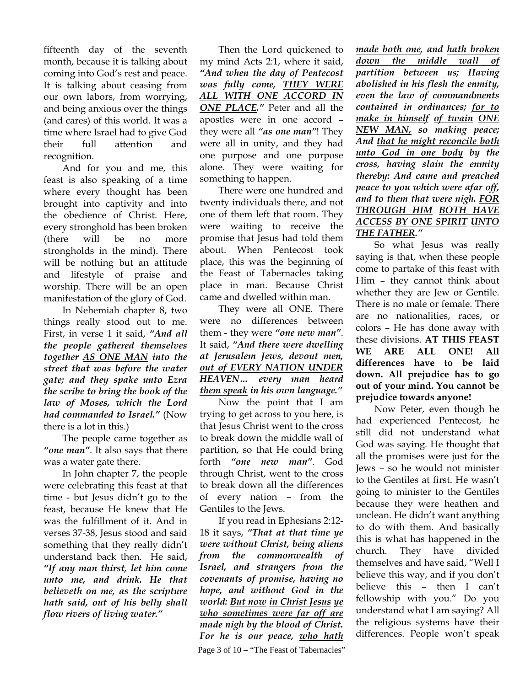fifteenth day of the seventh month, because it is talking about coming into God's rest and peace. It is talking about ceasing from our own labors, from worrying, and being anxious over the things (and cares) of this world. It was a time where Israel had to give God their full attention and recognition.

And for you and me, this feast is also speaking of a time where every thought has been brought into captivity and into the obedience of Christ. Here, every stronghold has been broken (there will be no more strongholds in the mind). There will be nothing but an attitude and lifestyle of praise and worship. There will be an open manifestation of the glory of God.

In Nehemiah chapter 8, two things really stood out to me. First, in verse 1 it said, *"And all the people gathered themselves together AS ONE MAN into the street that was before the water gate; and they spake unto Ezra the scribe to bring the book of the law of Moses, which the Lord had commanded to Israel."* (Now there is a lot in this.)

The people came together as *"one man"*. It also says that there was a water gate there.

In John chapter 7, the people were celebrating this feast at that time - but Jesus didn't go to the feast, because He knew that He was the fulfillment of it. And in verses 37-38, Jesus stood and said something that they really didn't understand back then. He said, *"If any man thirst, let him come unto me, and drink. He that believeth on me, as the scripture hath said, out of his belly shall flow rivers of living water."* 

Then the Lord quickened to my mind Acts 2:1, where it said, *"And when the day of Pentecost was fully come, THEY WERE ALL WITH ONE ACCORD IN ONE PLACE."* Peter and all the apostles were in one accord – they were all *"as one man"*! They were all in unity, and they had one purpose and one purpose alone. They were waiting for something to happen.

There were one hundred and twenty individuals there, and not one of them left that room. They were waiting to receive the promise that Jesus had told them about. When Pentecost took place, this was the beginning of the Feast of Tabernacles taking place in man. Because Christ came and dwelled within man.

They were all ONE. There were no differences between them - they were *"one new man"*. It said, *"And there were dwelling at Jerusalem Jews, devout men, out of EVERY NATION UNDER HEAVEN… every man heard them speak in his own language."*

Now the point that I am trying to get across to you here, is that Jesus Christ went to the cross to break down the middle wall of partition, so that He could bring forth *"one new man"*. God through Christ, went to the cross to break down all the differences of every nation – from the Gentiles to the Jews.

If you read in Ephesians 2:12- 18 it says, *"That at that time ye were without Christ, being aliens from the commonwealth of Israel, and strangers from the covenants of promise, having no hope, and without God in the world: But now in Christ Jesus ye who sometimes were far off are made nigh by the blood of Christ. For he is our peace, who hath* 

*made both one, and hath broken down the middle wall of partition between us; Having abolished in his flesh the enmity, even the law of commandments contained in ordinances; for to make in himself of twain ONE NEW MAN, so making peace; And that he might reconcile both unto God in one body by the cross, having slain the enmity thereby: And came and preached peace to you which were afar off, and to them that were nigh. FOR THROUGH HIM BOTH HAVE ACCESS BY ONE SPIRIT UNTO THE FATHER."* 

So what Jesus was really saying is that, when these people come to partake of this feast with Him – they cannot think about whether they are Jew or Gentile. There is no male or female. There are no nationalities, races, or colors – He has done away with these divisions. **AT THIS FEAST WE ARE ALL ONE! All differences have to be laid down. All prejudice has to go out of your mind. You cannot be prejudice towards anyone!**

Now Peter, even though he had experienced Pentecost, he still did not understand what God was saying. He thought that all the promises were just for the Jews – so he would not minister to the Gentiles at first. He wasn't going to minister to the Gentiles because they were heathen and unclean. He didn't want anything to do with them. And basically this is what has happened in the church. They have divided themselves and have said, "Well I believe this way, and if you don't believe this – then I can't fellowship with you." Do you understand what I am saying? All the religious systems have their differences. People won't speak

Page 3 of  $10 -$  "The Feast of Tabernacles"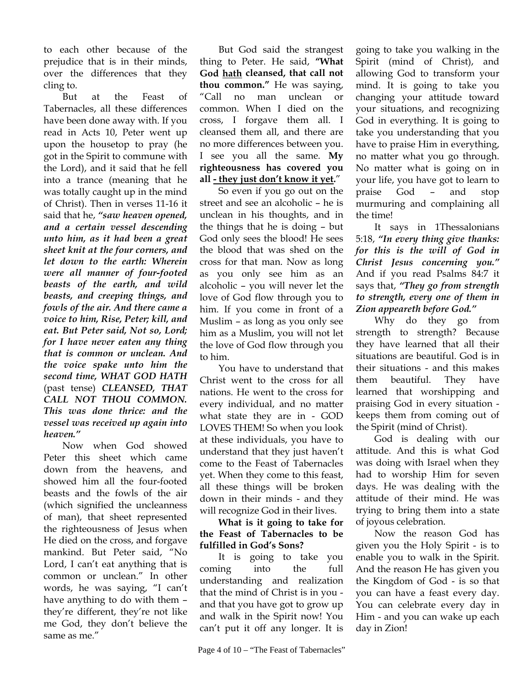to each other because of the prejudice that is in their minds, over the differences that they cling to.

But at the Feast of Tabernacles, all these differences have been done away with. If you read in Acts 10, Peter went up upon the housetop to pray (he got in the Spirit to commune with the Lord), and it said that he fell into a trance (meaning that he was totally caught up in the mind of Christ). Then in verses 11-16 it said that he, *"saw heaven opened, and a certain vessel descending unto him, as it had been a great sheet knit at the four corners, and let down to the earth: Wherein were all manner of four-footed beasts of the earth, and wild beasts, and creeping things, and fowls of the air. And there came a voice to him, Rise, Peter; kill, and eat. But Peter said, Not so, Lord; for I have never eaten any thing that is common or unclean. And the voice spake unto him the second time, WHAT GOD HATH*  (past tense) *CLEANSED, THAT CALL NOT THOU COMMON. This was done thrice: and the vessel was received up again into heaven."*

Now when God showed Peter this sheet which came down from the heavens, and showed him all the four-footed beasts and the fowls of the air (which signified the uncleanness of man), that sheet represented the righteousness of Jesus when He died on the cross, and forgave mankind. But Peter said, "No Lord, I can't eat anything that is common or unclean." In other words, he was saying, "I can't have anything to do with them – they're different, they're not like me God, they don't believe the same as me."

But God said the strangest thing to Peter. He said, **"What God hath cleansed, that call not thou common."** He was saying, "Call no man unclean or common. When I died on the cross, I forgave them all. I cleansed them all, and there are no more differences between you. I see you all the same. **My righteousness has covered you all - they just don't know it yet.**"

So even if you go out on the street and see an alcoholic – he is unclean in his thoughts, and in the things that he is doing – but God only sees the blood! He sees the blood that was shed on the cross for that man. Now as long as you only see him as an alcoholic – you will never let the love of God flow through you to him. If you come in front of a Muslim – as long as you only see him as a Muslim, you will not let the love of God flow through you to him.

You have to understand that Christ went to the cross for all nations. He went to the cross for every individual, and no matter what state they are in - GOD LOVES THEM! So when you look at these individuals, you have to understand that they just haven't come to the Feast of Tabernacles yet. When they come to this feast, all these things will be broken down in their minds - and they will recognize God in their lives.

**What is it going to take for the Feast of Tabernacles to be fulfilled in God's Sons?** 

It is going to take you coming into the full understanding and realization that the mind of Christ is in you and that you have got to grow up and walk in the Spirit now! You can't put it off any longer. It is

Page 4 of  $10 -$  "The Feast of Tabernacles"

going to take you walking in the Spirit (mind of Christ), and allowing God to transform your mind. It is going to take you changing your attitude toward your situations, and recognizing God in everything. It is going to take you understanding that you have to praise Him in everything, no matter what you go through. No matter what is going on in your life, you have got to learn to praise God – and stop murmuring and complaining all the time!

It says in 1Thessalonians 5:18, *"In every thing give thanks: for this is the will of God in Christ Jesus concerning you."* And if you read Psalms 84:7 it says that, *"They go from strength to strength, every one of them in Zion appeareth before God."*

Why do they go from strength to strength? Because they have learned that all their situations are beautiful. God is in their situations - and this makes them beautiful. They have learned that worshipping and praising God in every situation keeps them from coming out of the Spirit (mind of Christ).

God is dealing with our attitude. And this is what God was doing with Israel when they had to worship Him for seven days. He was dealing with the attitude of their mind. He was trying to bring them into a state of joyous celebration.

Now the reason God has given you the Holy Spirit - is to enable you to walk in the Spirit. And the reason He has given you the Kingdom of God - is so that you can have a feast every day. You can celebrate every day in Him - and you can wake up each day in Zion!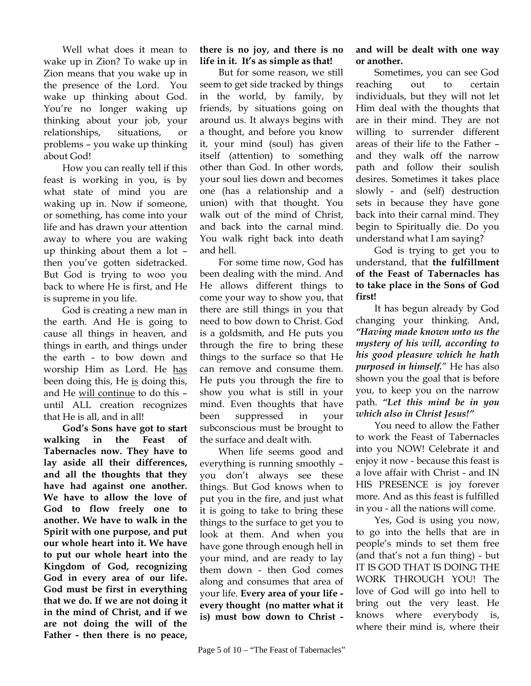Well what does it mean to wake up in Zion? To wake up in Zion means that you wake up in the presence of the Lord. You wake up thinking about God. You're no longer waking up thinking about your job, your relationships, situations, or problems – you wake up thinking about God!

How you can really tell if this feast is working in you, is by what state of mind you are waking up in. Now if someone, or something, has come into your life and has drawn your attention away to where you are waking up thinking about them a lot – then you've gotten sidetracked. But God is trying to woo you back to where He is first, and He is supreme in you life.

God is creating a new man in the earth. And He is going to cause all things in heaven, and things in earth, and things under the earth - to bow down and worship Him as Lord. He has been doing this, He is doing this, and He will continue to do this – until ALL creation recognizes that He is all, and in all!

**God's Sons have got to start walking in the Feast of Tabernacles now. They have to lay aside all their differences, and all the thoughts that they have had against one another. We have to allow the love of God to flow freely one to another. We have to walk in the Spirit with one purpose, and put our whole heart into it. We have to put our whole heart into the Kingdom of God, recognizing God in every area of our life. God must be first in everything that we do. If we are not doing it in the mind of Christ, and if we are not doing the will of the Father - then there is no peace,** 

#### **there is no joy, and there is no life in it. It's as simple as that!**

But for some reason, we still seem to get side tracked by things in the world, by family, by friends, by situations going on around us. It always begins with a thought, and before you know it, your mind (soul) has given itself (attention) to something other than God. In other words, your soul lies down and becomes one (has a relationship and a union) with that thought. You walk out of the mind of Christ, and back into the carnal mind. You walk right back into death and hell.

For some time now, God has been dealing with the mind. And He allows different things to come your way to show you, that there are still things in you that need to bow down to Christ. God is a goldsmith, and He puts you through the fire to bring these things to the surface so that He can remove and consume them. He puts you through the fire to show you what is still in your mind. Even thoughts that have been suppressed in your subconscious must be brought to the surface and dealt with.

When life seems good and everything is running smoothly – you don't always see these things. But God knows when to put you in the fire, and just what it is going to take to bring these things to the surface to get you to look at them. And when you have gone through enough hell in your mind, and are ready to lay them down - then God comes along and consumes that area of your life. **Every area of your life every thought (no matter what it is) must bow down to Christ -** 

#### **and will be dealt with one way or another.**

Sometimes, you can see God reaching out to certain individuals, but they will not let Him deal with the thoughts that are in their mind. They are not willing to surrender different areas of their life to the Father – and they walk off the narrow path and follow their soulish desires. Sometimes it takes place slowly - and (self) destruction sets in because they have gone back into their carnal mind. They begin to Spiritually die. Do you understand what I am saying?

God is trying to get you to understand, that **the fulfillment of the Feast of Tabernacles has to take place in the Sons of God first!** 

It has begun already by God changing your thinking. And, *"Having made known unto us the mystery of his will, according to his good pleasure which he hath purposed in himself.*" He has also shown you the goal that is before you, to keep you on the narrow path. *"Let this mind be in you which also in Christ Jesus!"*

You need to allow the Father to work the Feast of Tabernacles into you NOW! Celebrate it and enjoy it now - because this feast is a love affair with Christ - and IN HIS PRESENCE is joy forever more. And as this feast is fulfilled in you - all the nations will come.

Yes, God is using you now, to go into the hells that are in people's minds to set them free (and that's not a fun thing) - but IT IS GOD THAT IS DOING THE WORK THROUGH YOU! The love of God will go into hell to bring out the very least. He knows where everybody is, where their mind is, where their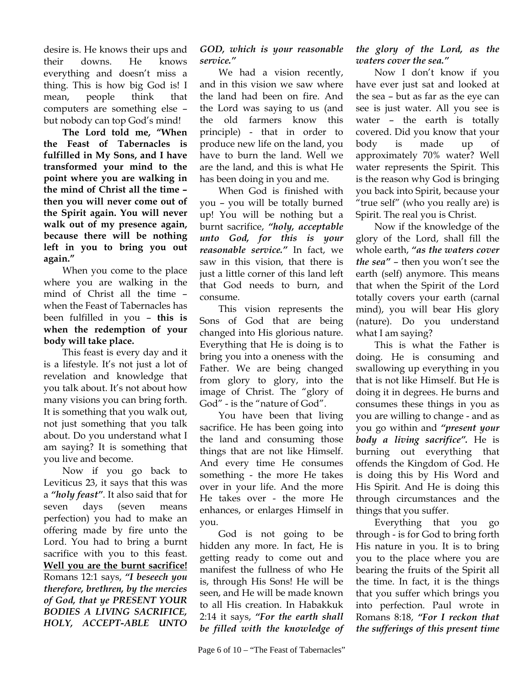desire is. He knows their ups and their downs. He knows everything and doesn't miss a thing. This is how big God is! I mean, people think that computers are something else – but nobody can top God's mind!

**The Lord told me, "When the Feast of Tabernacles is fulfilled in My Sons, and I have transformed your mind to the point where you are walking in the mind of Christ all the time – then you will never come out of the Spirit again. You will never walk out of my presence again, because there will be nothing left in you to bring you out again."** 

When you come to the place where you are walking in the mind of Christ all the time – when the Feast of Tabernacles has been fulfilled in you – **this is when the redemption of your body will take place.**

This feast is every day and it is a lifestyle. It's not just a lot of revelation and knowledge that you talk about. It's not about how many visions you can bring forth. It is something that you walk out, not just something that you talk about. Do you understand what I am saying? It is something that you live and become.

Now if you go back to Leviticus 23, it says that this was a *"holy feast"*. It also said that for seven days (seven means perfection) you had to make an offering made by fire unto the Lord. You had to bring a burnt sacrifice with you to this feast. **Well you are the burnt sacrifice!** Romans 12:1 says, *"I beseech you therefore, brethren, by the mercies of God, that ye PRESENT YOUR BODIES A LIVING SACRIFICE, HOLY, ACCEPT-ABLE UNTO* 

#### *GOD, which is your reasonable service."*

We had a vision recently, and in this vision we saw where the land had been on fire. And the Lord was saying to us (and the old farmers know this principle) - that in order to produce new life on the land, you have to burn the land. Well we are the land, and this is what He has been doing in you and me.

When God is finished with you – you will be totally burned up! You will be nothing but a burnt sacrifice, *"holy, acceptable unto God, for this is your reasonable service."* In fact, we saw in this vision, that there is just a little corner of this land left that God needs to burn, and consume.

This vision represents the Sons of God that are being changed into His glorious nature. Everything that He is doing is to bring you into a oneness with the Father. We are being changed from glory to glory, into the image of Christ. The "glory of God" - is the "nature of God".

You have been that living sacrifice. He has been going into the land and consuming those things that are not like Himself. And every time He consumes something - the more He takes over in your life. And the more He takes over - the more He enhances, or enlarges Himself in you.

God is not going to be hidden any more. In fact, He is getting ready to come out and manifest the fullness of who He is, through His Sons! He will be seen, and He will be made known to all His creation. In Habakkuk 2:14 it says, *"For the earth shall be filled with the knowledge of* 

## *the glory of the Lord, as the waters cover the sea."*

Now I don't know if you have ever just sat and looked at the sea – but as far as the eye can see is just water. All you see is water – the earth is totally covered. Did you know that your body is made up of approximately 70% water? Well water represents the Spirit. This is the reason why God is bringing you back into Spirit, because your "true self" (who you really are) is Spirit. The real you is Christ.

Now if the knowledge of the glory of the Lord, shall fill the whole earth, *"as the waters cover the sea"* – then you won't see the earth (self) anymore. This means that when the Spirit of the Lord totally covers your earth (carnal mind), you will bear His glory (nature). Do you understand what I am saying?

This is what the Father is doing. He is consuming and swallowing up everything in you that is not like Himself. But He is doing it in degrees. He burns and consumes these things in you as you are willing to change - and as you go within and *"present your body a living sacrifice".* He is burning out everything that offends the Kingdom of God. He is doing this by His Word and His Spirit. And He is doing this through circumstances and the things that you suffer.

Everything that you go through - is for God to bring forth His nature in you. It is to bring you to the place where you are bearing the fruits of the Spirit all the time. In fact, it is the things that you suffer which brings you into perfection. Paul wrote in Romans 8:18, *"For I reckon that the sufferings of this present time*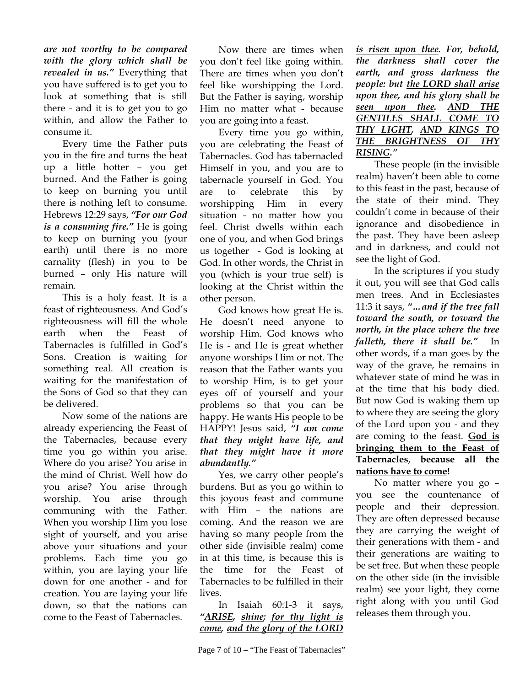*are not worthy to be compared with the glory which shall be revealed in us."* Everything that you have suffered is to get you to look at something that is still there - and it is to get you to go within, and allow the Father to consume it.

Every time the Father puts you in the fire and turns the heat up a little hotter – you get burned. And the Father is going to keep on burning you until there is nothing left to consume. Hebrews 12:29 says, *"For our God is a consuming fire."* He is going to keep on burning you (your earth) until there is no more carnality (flesh) in you to be burned – only His nature will remain.

This is a holy feast. It is a feast of righteousness. And God's righteousness will fill the whole earth when the Feast of Tabernacles is fulfilled in God's Sons. Creation is waiting for something real. All creation is waiting for the manifestation of the Sons of God so that they can be delivered.

Now some of the nations are already experiencing the Feast of the Tabernacles, because every time you go within you arise. Where do you arise? You arise in the mind of Christ. Well how do you arise? You arise through worship. You arise through communing with the Father. When you worship Him you lose sight of yourself, and you arise above your situations and your problems. Each time you go within, you are laying your life down for one another - and for creation. You are laying your life down, so that the nations can come to the Feast of Tabernacles.

Now there are times when you don't feel like going within. There are times when you don't feel like worshipping the Lord. But the Father is saying, worship Him no matter what - because you are going into a feast.

Every time you go within, you are celebrating the Feast of Tabernacles. God has tabernacled Himself in you, and you are to tabernacle yourself in God. You are to celebrate this by worshipping Him in every situation - no matter how you feel. Christ dwells within each one of you, and when God brings us together - God is looking at God. In other words, the Christ in you (which is your true self) is looking at the Christ within the other person.

God knows how great He is. He doesn't need anyone to worship Him. God knows who He is - and He is great whether anyone worships Him or not. The reason that the Father wants you to worship Him, is to get your eyes off of yourself and your problems so that you can be happy. He wants His people to be HAPPY! Jesus said, *"I am come that they might have life, and that they might have it more abundantly."*

Yes, we carry other people's burdens. But as you go within to this joyous feast and commune with Him – the nations are coming. And the reason we are having so many people from the other side (invisible realm) come in at this time, is because this is the time for the Feast of Tabernacles to be fulfilled in their lives.

In Isaiah 60:1-3 it says, *"ARISE, shine; for thy light is come, and the glory of the LORD*  *the darkness shall cover the earth, and gross darkness the people: but the LORD shall arise upon thee, and his glory shall be seen upon thee. AND THE GENTILES SHALL COME TO THY LIGHT, AND KINGS TO THE BRIGHTNESS OF THY RISING."*

*is risen upon thee. For, behold,* 

These people (in the invisible realm) haven't been able to come to this feast in the past, because of the state of their mind. They couldn't come in because of their ignorance and disobedience in the past. They have been asleep and in darkness, and could not see the light of God.

In the scriptures if you study it out, you will see that God calls men trees. And in Ecclesiastes 11:3 it says, *"…and if the tree fall toward the south, or toward the north, in the place where the tree falleth, there it shall be."* In other words, if a man goes by the way of the grave, he remains in whatever state of mind he was in at the time that his body died. But now God is waking them up to where they are seeing the glory of the Lord upon you - and they are coming to the feast. **God is bringing them to the Feast of Tabernacles**, **because all the nations have to come!**

No matter where you go – you see the countenance of people and their depression. They are often depressed because they are carrying the weight of their generations with them - and their generations are waiting to be set free. But when these people on the other side (in the invisible realm) see your light, they come right along with you until God releases them through you.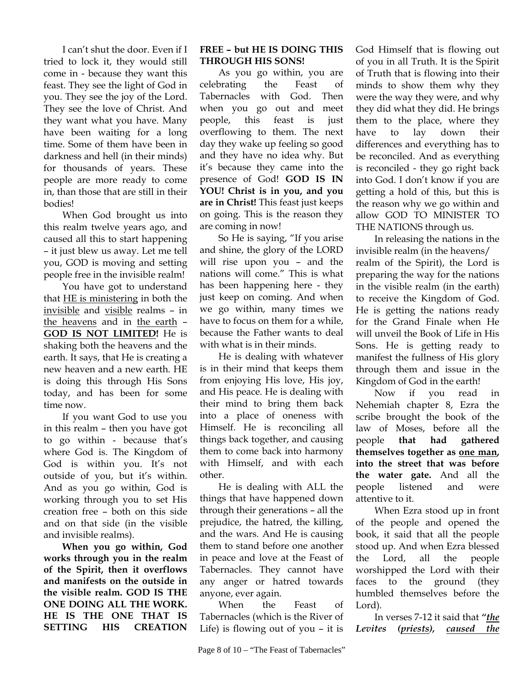I can't shut the door. Even if I tried to lock it, they would still come in - because they want this feast. They see the light of God in you. They see the joy of the Lord. They see the love of Christ. And they want what you have. Many have been waiting for a long time. Some of them have been in darkness and hell (in their minds) for thousands of years. These people are more ready to come in, than those that are still in their bodies!

When God brought us into this realm twelve years ago, and caused all this to start happening – it just blew us away. Let me tell you, GOD is moving and setting people free in the invisible realm!

You have got to understand that HE is ministering in both the invisible and visible realms – in the heavens and in the earth – **GOD IS NOT LIMITED!** He is shaking both the heavens and the earth. It says, that He is creating a new heaven and a new earth. HE is doing this through His Sons today, and has been for some time now.

If you want God to use you in this realm – then you have got to go within - because that's where God is. The Kingdom of God is within you. It's not outside of you, but it's within. And as you go within, God is working through you to set His creation free – both on this side and on that side (in the visible and invisible realms).

**When you go within, God works through you in the realm of the Spirit, then it overflows and manifests on the outside in the visible realm. GOD IS THE ONE DOING ALL THE WORK. HE IS THE ONE THAT IS SETTING HIS CREATION** 

### **FREE – but HE IS DOING THIS THROUGH HIS SONS!**

As you go within, you are celebrating the Feast of Tabernacles with God. Then when you go out and meet people, this feast is just overflowing to them. The next day they wake up feeling so good and they have no idea why. But it's because they came into the presence of God! **GOD IS IN YOU! Christ is in you, and you are in Christ!** This feast just keeps on going. This is the reason they are coming in now!

So He is saying, "If you arise and shine, the glory of the LORD will rise upon you – and the nations will come." This is what has been happening here - they just keep on coming. And when we go within, many times we have to focus on them for a while, because the Father wants to deal with what is in their minds.

He is dealing with whatever is in their mind that keeps them from enjoying His love, His joy, and His peace. He is dealing with their mind to bring them back into a place of oneness with Himself. He is reconciling all things back together, and causing them to come back into harmony with Himself, and with each other.

He is dealing with ALL the things that have happened down through their generations – all the prejudice, the hatred, the killing, and the wars. And He is causing them to stand before one another in peace and love at the Feast of Tabernacles. They cannot have any anger or hatred towards anyone, ever again.

When the Feast of Tabernacles (which is the River of Life) is flowing out of you – it is

God Himself that is flowing out of you in all Truth. It is the Spirit of Truth that is flowing into their minds to show them why they were the way they were, and why they did what they did. He brings them to the place, where they have to lay down their differences and everything has to be reconciled. And as everything is reconciled - they go right back into God. I don't know if you are getting a hold of this, but this is the reason why we go within and allow GOD TO MINISTER TO THE NATIONS through us.

In releasing the nations in the invisible realm (in the heavens/ realm of the Spirit), the Lord is preparing the way for the nations in the visible realm (in the earth) to receive the Kingdom of God. He is getting the nations ready for the Grand Finale when He will unveil the Book of Life in His Sons. He is getting ready to manifest the fullness of His glory through them and issue in the Kingdom of God in the earth!

Now if you read in Nehemiah chapter 8, Ezra the scribe brought the book of the law of Moses, before all the people **that had gathered themselves together as one man, into the street that was before the water gate.** And all the people listened and were attentive to it.

When Ezra stood up in front of the people and opened the book, it said that all the people stood up. And when Ezra blessed the Lord, all the people worshipped the Lord with their faces to the ground (they humbled themselves before the Lord).

In verses 7-12 it said that *"the Levites (priests), caused the*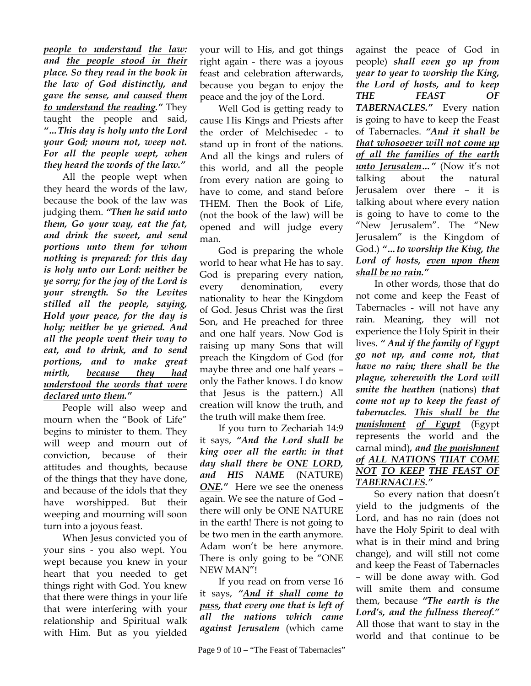*people to understand the law: and the people stood in their place. So they read in the book in the law of God distinctly, and gave the sense, and caused them to understand the reading."* They taught the people and said, *"…This day is holy unto the Lord your God; mourn not, weep not. For all the people wept, when they heard the words of the law."* 

All the people wept when they heard the words of the law, because the book of the law was judging them. *"Then he said unto them, Go your way, eat the fat, and drink the sweet, and send portions unto them for whom nothing is prepared: for this day is holy unto our Lord: neither be ye sorry; for the joy of the Lord is your strength. So the Levites stilled all the people, saying, Hold your peace, for the day is holy; neither be ye grieved. And all the people went their way to eat, and to drink, and to send portions, and to make great mirth, because they had understood the words that were declared unto them."*

People will also weep and mourn when the "Book of Life" begins to minister to them. They will weep and mourn out of conviction, because of their attitudes and thoughts, because of the things that they have done, and because of the idols that they have worshipped. But their weeping and mourning will soon turn into a joyous feast.

When Jesus convicted you of your sins - you also wept. You wept because you knew in your heart that you needed to get things right with God. You knew that there were things in your life that were interfering with your relationship and Spiritual walk with Him. But as you yielded

your will to His, and got things right again - there was a joyous feast and celebration afterwards, because you began to enjoy the peace and the joy of the Lord.

Well God is getting ready to cause His Kings and Priests after the order of Melchisedec - to stand up in front of the nations. And all the kings and rulers of this world, and all the people from every nation are going to have to come, and stand before THEM. Then the Book of Life, (not the book of the law) will be opened and will judge every man.

God is preparing the whole world to hear what He has to say. God is preparing every nation, every denomination, every nationality to hear the Kingdom of God. Jesus Christ was the first Son, and He preached for three and one half years. Now God is raising up many Sons that will preach the Kingdom of God (for maybe three and one half years – only the Father knows. I do know that Jesus is the pattern.) All creation will know the truth, and the truth will make them free.

If you turn to Zechariah 14:9 it says, *"And the Lord shall be king over all the earth: in that day shall there be ONE LORD, and HIS NAME* (NATURE) *ONE."* Here we see the oneness again. We see the nature of God – there will only be ONE NATURE in the earth! There is not going to be two men in the earth anymore. Adam won't be here anymore. There is only going to be "ONE NEW MAN"!

If you read on from verse 16 it says, *"And it shall come to pass, that every one that is left of all the nations which came against Jerusalem* (which came

against the peace of God in people) *shall even go up from year to year to worship the King, the Lord of hosts, and to keep THE FEAST OF TABERNACLES."* Every nation is going to have to keep the Feast of Tabernacles. *"And it shall be that whosoever will not come up of all the families of the earth unto Jerusalem…"* (Now it's not talking about the natural Jerusalem over there – it is talking about where every nation is going to have to come to the "New Jerusalem". The "New Jerusalem" is the Kingdom of God.) *"…to worship the King, the Lord of hosts, even upon them shall be no rain."*

In other words, those that do not come and keep the Feast of Tabernacles - will not have any rain. Meaning, they will not experience the Holy Spirit in their lives. *" And if the family of Egypt go not up, and come not, that have no rain; there shall be the plague, wherewith the Lord will smite the heathen* (nations) *that come not up to keep the feast of tabernacles. This shall be the punishment of Egypt* (Egypt represents the world and the carnal mind)*, and the punishment of ALL NATIONS THAT COME NOT TO KEEP THE FEAST OF TABERNACLES."*

So every nation that doesn't yield to the judgments of the Lord, and has no rain (does not have the Holy Spirit to deal with what is in their mind and bring change), and will still not come and keep the Feast of Tabernacles – will be done away with. God will smite them and consume them, because *"The earth is the Lord's, and the fullness thereof."* All those that want to stay in the world and that continue to be